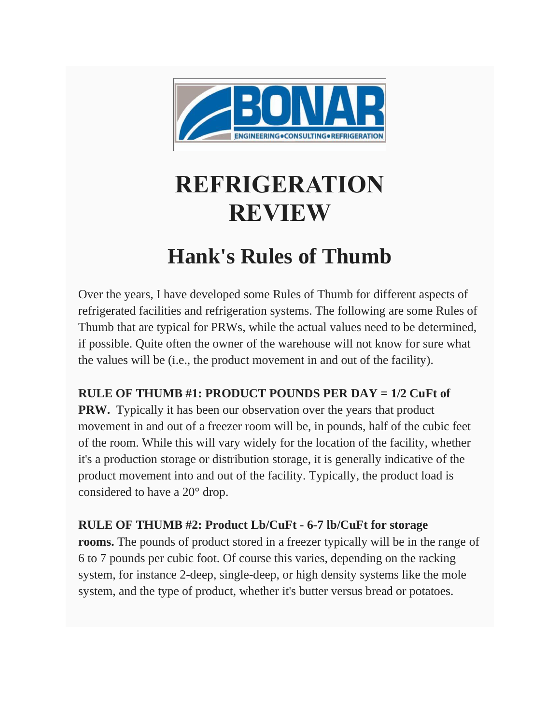

## **REFRIGERATION REVIEW**

## **Hank's Rules of Thumb**

Over the years, I have developed some Rules of Thumb for different aspects of refrigerated facilities and refrigeration systems. The following are some Rules of Thumb that are typical for PRWs, while the actual values need to be determined, if possible. Quite often the owner of the warehouse will not know for sure what the values will be (i.e., the product movement in and out of the facility).

## **RULE OF THUMB #1: PRODUCT POUNDS PER DAY = 1/2 CuFt of**

**PRW.** Typically it has been our observation over the years that product movement in and out of a freezer room will be, in pounds, half of the cubic feet of the room. While this will vary widely for the location of the facility, whether it's a production storage or distribution storage, it is generally indicative of the product movement into and out of the facility. Typically, the product load is considered to have a 20° drop.

## **RULE OF THUMB #2: Product Lb/CuFt - 6-7 lb/CuFt for storage**

**rooms.** The pounds of product stored in a freezer typically will be in the range of 6 to 7 pounds per cubic foot. Of course this varies, depending on the racking system, for instance 2-deep, single-deep, or high density systems like the mole system, and the type of product, whether it's butter versus bread or potatoes.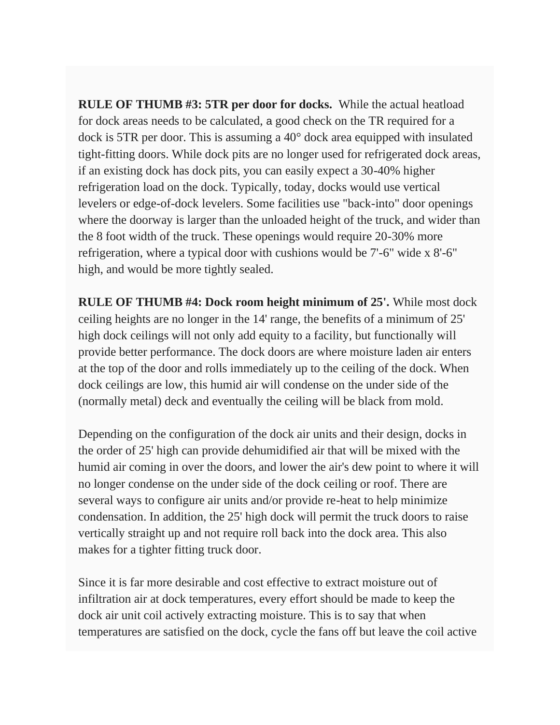**RULE OF THUMB #3: 5TR per door for docks.** While the actual heatload for dock areas needs to be calculated, a good check on the TR required for a dock is 5TR per door. This is assuming a 40° dock area equipped with insulated tight-fitting doors. While dock pits are no longer used for refrigerated dock areas, if an existing dock has dock pits, you can easily expect a 30-40% higher refrigeration load on the dock. Typically, today, docks would use vertical levelers or edge-of-dock levelers. Some facilities use "back-into" door openings where the doorway is larger than the unloaded height of the truck, and wider than the 8 foot width of the truck. These openings would require 20-30% more refrigeration, where a typical door with cushions would be 7'-6" wide x 8'-6" high, and would be more tightly sealed.

**RULE OF THUMB #4: Dock room height minimum of 25'.** While most dock ceiling heights are no longer in the 14' range, the benefits of a minimum of 25' high dock ceilings will not only add equity to a facility, but functionally will provide better performance. The dock doors are where moisture laden air enters at the top of the door and rolls immediately up to the ceiling of the dock. When dock ceilings are low, this humid air will condense on the under side of the (normally metal) deck and eventually the ceiling will be black from mold.

Depending on the configuration of the dock air units and their design, docks in the order of 25' high can provide dehumidified air that will be mixed with the humid air coming in over the doors, and lower the air's dew point to where it will no longer condense on the under side of the dock ceiling or roof. There are several ways to configure air units and/or provide re-heat to help minimize condensation. In addition, the 25' high dock will permit the truck doors to raise vertically straight up and not require roll back into the dock area. This also makes for a tighter fitting truck door.

Since it is far more desirable and cost effective to extract moisture out of infiltration air at dock temperatures, every effort should be made to keep the dock air unit coil actively extracting moisture. This is to say that when temperatures are satisfied on the dock, cycle the fans off but leave the coil active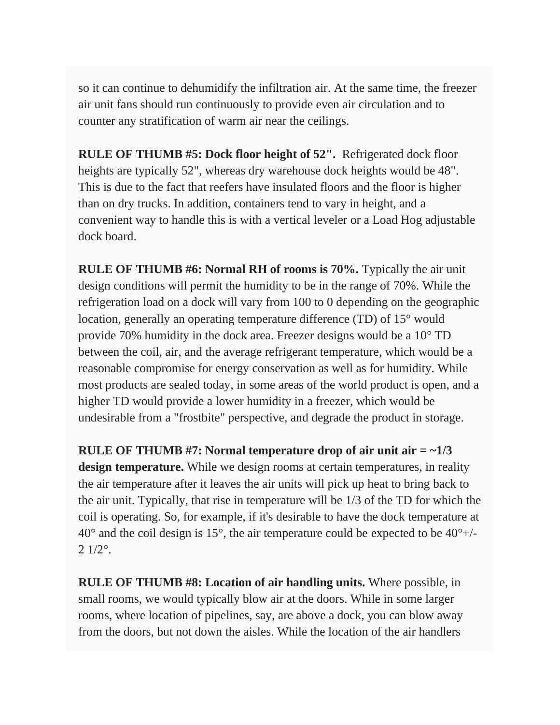so it can continue to dehumidify the infiltration air. At the same time, the freezer air unit fans should run continuously to provide even air circulation and to counter any stratification of warm air near the ceilings.

**RULE OF THUMB #5: Dock floor height of 52".** Refrigerated dock floor heights are typically 52", whereas dry warehouse dock heights would be 48". This is due to the fact that reefers have insulated floors and the floor is higher than on dry trucks. In addition, containers tend to vary in height, and a convenient way to handle this is with a vertical leveler or a Load Hog adjustable dock board.

**RULE OF THUMB #6: Normal RH of rooms is 70%.** Typically the air unit design conditions will permit the humidity to be in the range of 70%. While the refrigeration load on a dock will vary from 100 to 0 depending on the geographic location, generally an operating temperature difference (TD) of 15° would provide 70% humidity in the dock area. Freezer designs would be a 10° TD between the coil, air, and the average refrigerant temperature, which would be a reasonable compromise for energy conservation as well as for humidity. While most products are sealed today, in some areas of the world product is open, and a higher TD would provide a lower humidity in a freezer, which would be undesirable from a "frostbite" perspective, and degrade the product in storage.

**RULE OF THUMB #7: Normal temperature drop of air unit air = ~1/3 design temperature.** While we design rooms at certain temperatures, in reality the air temperature after it leaves the air units will pick up heat to bring back to the air unit. Typically, that rise in temperature will be 1/3 of the TD for which the coil is operating. So, for example, if it's desirable to have the dock temperature at 40° and the coil design is 15°, the air temperature could be expected to be 40°+/-  $2 \frac{1}{2}$ <sup>o</sup>.

**RULE OF THUMB #8: Location of air handling units.** Where possible, in small rooms, we would typically blow air at the doors. While in some larger rooms, where location of pipelines, say, are above a dock, you can blow away from the doors, but not down the aisles. While the location of the air handlers